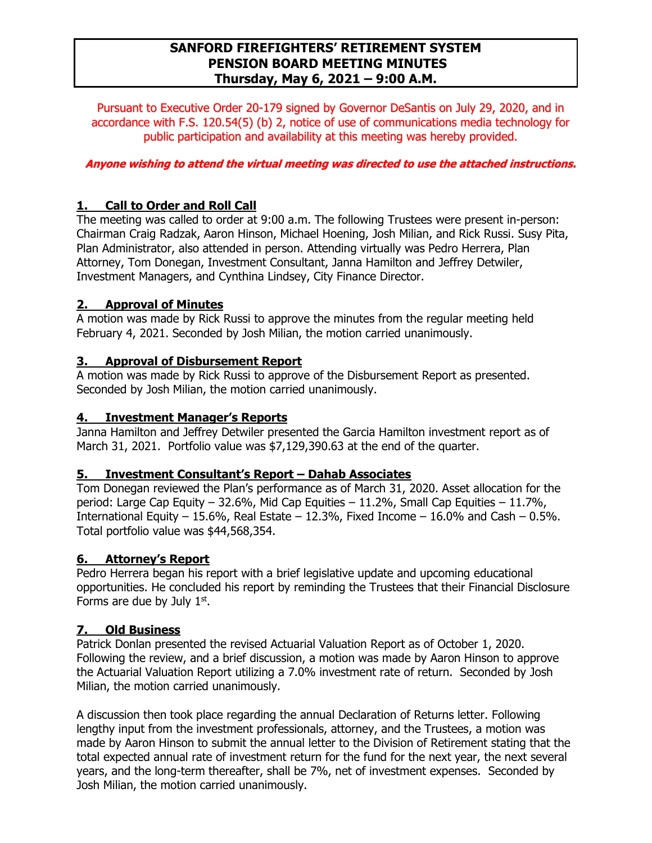### **SANFORD FIREFIGHTERS' RETIREMENT SYSTEM PENSION BOARD MEETING MINUTES Thursday, May 6, 2021 – 9:00 A.M.**

Pursuant to Executive Order 20-179 signed by Governor DeSantis on July 29, 2020, and in accordance with F.S. 120.54(5) (b) 2, notice of use of communications media technology for public participation and availability at this meeting was hereby provided.

### **Anyone wishing to attend the virtual meeting was directed to use the attached instructions.**

### **1. Call to Order and Roll Call**

The meeting was called to order at 9:00 a.m. The following Trustees were present in-person: Chairman Craig Radzak, Aaron Hinson, Michael Hoening, Josh Milian, and Rick Russi. Susy Pita, Plan Administrator, also attended in person. Attending virtually was Pedro Herrera, Plan Attorney, Tom Donegan, Investment Consultant, Janna Hamilton and Jeffrey Detwiler, Investment Managers, and Cynthina Lindsey, City Finance Director.

### **2. Approval of Minutes**

A motion was made by Rick Russi to approve the minutes from the regular meeting held February 4, 2021. Seconded by Josh Milian, the motion carried unanimously.

### **3. Approval of Disbursement Report**

A motion was made by Rick Russi to approve of the Disbursement Report as presented. Seconded by Josh Milian, the motion carried unanimously.

### **4. Investment Manager's Reports**

Janna Hamilton and Jeffrey Detwiler presented the Garcia Hamilton investment report as of March 31, 2021. Portfolio value was \$7,129,390.63 at the end of the quarter.

### **5. Investment Consultant's Report – Dahab Associates**

Tom Donegan reviewed the Plan's performance as of March 31, 2020. Asset allocation for the period: Large Cap Equity – 32.6%, Mid Cap Equities – 11.2%, Small Cap Equities – 11.7%, International Equity – 15.6%, Real Estate – 12.3%, Fixed Income – 16.0% and Cash – 0.5%. Total portfolio value was \$44,568,354.

### **6. Attorney's Report**

Pedro Herrera began his report with a brief legislative update and upcoming educational opportunities. He concluded his report by reminding the Trustees that their Financial Disclosure Forms are due by July  $1<sup>st</sup>$ .

### **7. Old Business**

Patrick Donlan presented the revised Actuarial Valuation Report as of October 1, 2020. Following the review, and a brief discussion, a motion was made by Aaron Hinson to approve the Actuarial Valuation Report utilizing a 7.0% investment rate of return. Seconded by Josh Milian, the motion carried unanimously.

A discussion then took place regarding the annual Declaration of Returns letter. Following lengthy input from the investment professionals, attorney, and the Trustees, a motion was made by Aaron Hinson to submit the annual letter to the Division of Retirement stating that the total expected annual rate of investment return for the fund for the next year, the next several years, and the long-term thereafter, shall be 7%, net of investment expenses. Seconded by Josh Milian, the motion carried unanimously.